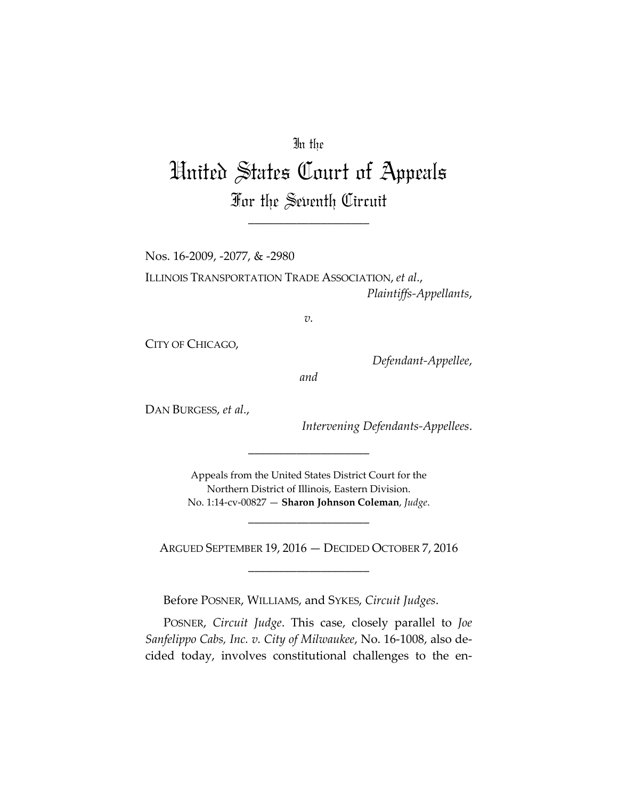## In the

## United States Court of Appeals For the Seventh Circuit

\_\_\_\_\_\_\_\_\_\_\_\_\_\_\_\_\_\_\_\_

Nos. 16‐2009, ‐2077, & ‐2980

ILLINOIS TRANSPORTATION TRADE ASSOCIATION, *et al.*, *Plaintiffs‐Appellants*,

*v.*

CITY OF CHICAGO,

*Defendant‐Appellee*,

*and*

DAN BURGESS, *et al.*,

*Intervening Defendants‐Appellees*.

Appeals from the United States District Court for the Northern District of Illinois, Eastern Division. No. 1:14‐cv‐00827 — **Sharon Johnson Coleman**, *Judge*.

\_\_\_\_\_\_\_\_\_\_\_\_\_\_\_\_\_\_\_\_

\_\_\_\_\_\_\_\_\_\_\_\_\_\_\_\_\_\_\_\_

ARGUED SEPTEMBER 19, 2016 — DECIDED OCTOBER 7, 2016 \_\_\_\_\_\_\_\_\_\_\_\_\_\_\_\_\_\_\_\_

Before POSNER, WILLIAMS, and SYKES, *Circuit Judges*.

POSNER, *Circuit Judge*. This case, closely parallel to *Joe Sanfelippo Cabs, Inc. v. City of Milwaukee*, No. 16‐1008, also de‐ cided today, involves constitutional challenges to the en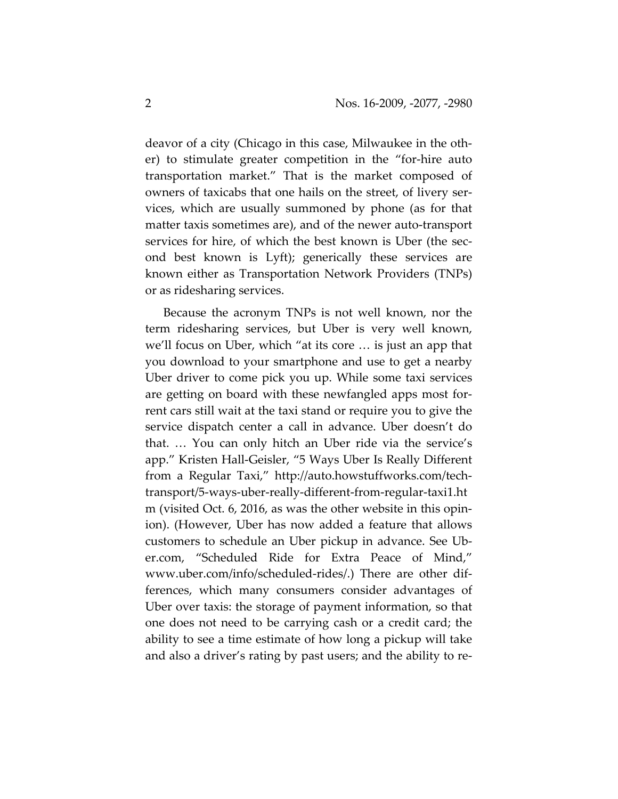deavor of a city (Chicago in this case, Milwaukee in the oth‐ er) to stimulate greater competition in the "for‐hire auto transportation market." That is the market composed of owners of taxicabs that one hails on the street, of livery ser‐ vices, which are usually summoned by phone (as for that matter taxis sometimes are), and of the newer auto‐transport services for hire, of which the best known is Uber (the second best known is Lyft); generically these services are known either as Transportation Network Providers (TNPs) or as ridesharing services.

Because the acronym TNPs is not well known, nor the term ridesharing services, but Uber is very well known, we'll focus on Uber, which "at its core … is just an app that you download to your smartphone and use to get a nearby Uber driver to come pick you up. While some taxi services are getting on board with these newfangled apps most for‐ rent cars still wait at the taxi stand or require you to give the service dispatch center a call in advance. Uber doesn't do that. … You can only hitch an Uber ride via the service's app." Kristen Hall‐Geisler, "5 Ways Uber Is Really Different from a Regular Taxi," http://auto.howstuffworks.com/tech‐ transport/5‐ways‐uber‐really‐different‐from‐regular‐taxi1.ht m (visited Oct. 6, 2016, as was the other website in this opin‐ ion). (However, Uber has now added a feature that allows customers to schedule an Uber pickup in advance. See Ub‐ er.com, "Scheduled Ride for Extra Peace of Mind," www.uber.com/info/scheduled‐rides/.) There are other dif‐ ferences, which many consumers consider advantages of Uber over taxis: the storage of payment information, so that one does not need to be carrying cash or a credit card; the ability to see a time estimate of how long a pickup will take and also a driver's rating by past users; and the ability to re‐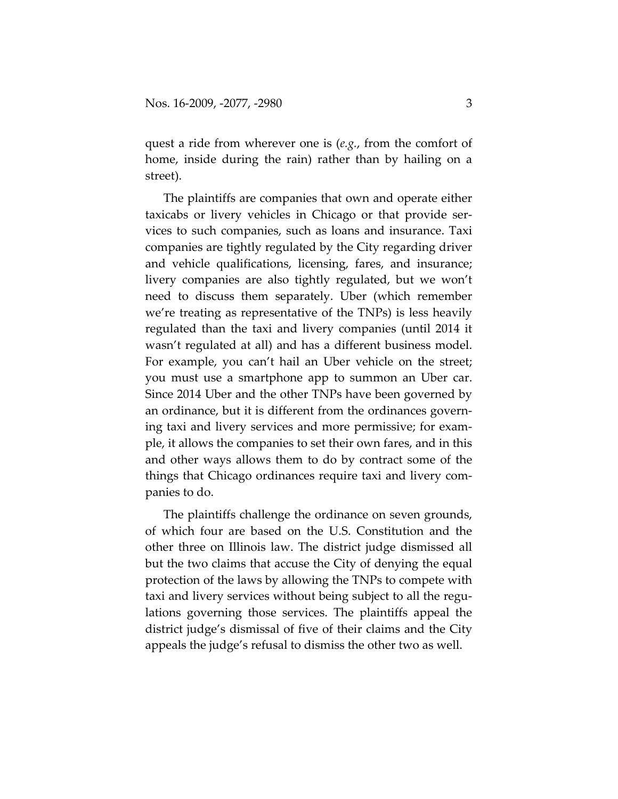quest a ride from wherever one is (*e.g.*, from the comfort of home, inside during the rain) rather than by hailing on a street).

The plaintiffs are companies that own and operate either taxicabs or livery vehicles in Chicago or that provide ser‐ vices to such companies, such as loans and insurance. Taxi companies are tightly regulated by the City regarding driver and vehicle qualifications, licensing, fares, and insurance; livery companies are also tightly regulated, but we won't need to discuss them separately. Uber (which remember we're treating as representative of the TNPs) is less heavily regulated than the taxi and livery companies (until 2014 it wasn't regulated at all) and has a different business model. For example, you can't hail an Uber vehicle on the street; you must use a smartphone app to summon an Uber car. Since 2014 Uber and the other TNPs have been governed by an ordinance, but it is different from the ordinances govern‐ ing taxi and livery services and more permissive; for exam‐ ple, it allows the companies to set their own fares, and in this and other ways allows them to do by contract some of the things that Chicago ordinances require taxi and livery com‐ panies to do.

The plaintiffs challenge the ordinance on seven grounds, of which four are based on the U.S. Constitution and the other three on Illinois law. The district judge dismissed all but the two claims that accuse the City of denying the equal protection of the laws by allowing the TNPs to compete with taxi and livery services without being subject to all the regu‐ lations governing those services. The plaintiffs appeal the district judge's dismissal of five of their claims and the City appeals the judge's refusal to dismiss the other two as well.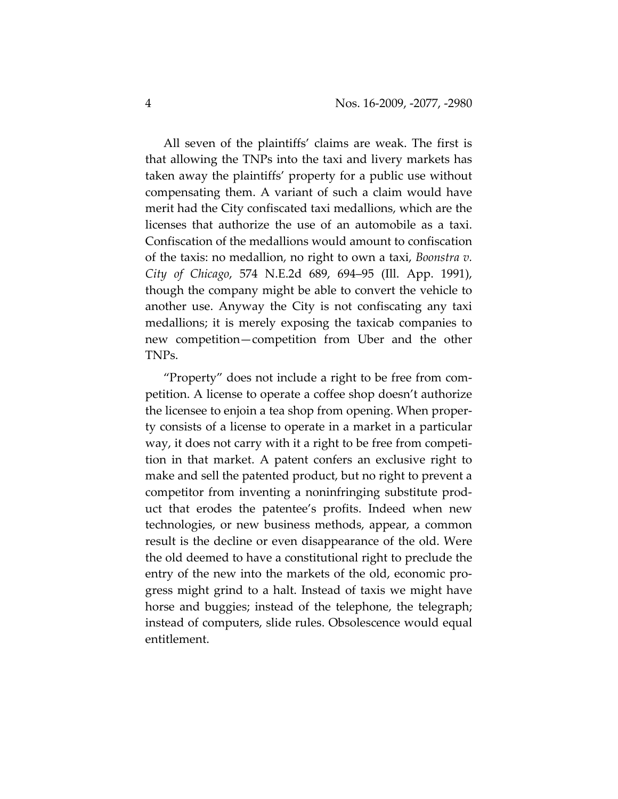All seven of the plaintiffs' claims are weak. The first is that allowing the TNPs into the taxi and livery markets has taken away the plaintiffs' property for a public use without compensating them. A variant of such a claim would have merit had the City confiscated taxi medallions, which are the licenses that authorize the use of an automobile as a taxi. Confiscation of the medallions would amount to confiscation of the taxis: no medallion, no right to own a taxi, *Boonstra v. City of Chicago*, 574 N.E.2d 689, 694–95 (Ill. App. 1991), though the company might be able to convert the vehicle to another use. Anyway the City is not confiscating any taxi medallions; it is merely exposing the taxicab companies to new competition—competition from Uber and the other TNPs.

"Property" does not include a right to be free from com‐ petition. A license to operate a coffee shop doesn't authorize the licensee to enjoin a tea shop from opening. When proper‐ ty consists of a license to operate in a market in a particular way, it does not carry with it a right to be free from competi‐ tion in that market. A patent confers an exclusive right to make and sell the patented product, but no right to prevent a competitor from inventing a noninfringing substitute prod‐ uct that erodes the patentee's profits. Indeed when new technologies, or new business methods, appear, a common result is the decline or even disappearance of the old. Were the old deemed to have a constitutional right to preclude the entry of the new into the markets of the old, economic pro‐ gress might grind to a halt. Instead of taxis we might have horse and buggies; instead of the telephone, the telegraph; instead of computers, slide rules. Obsolescence would equal entitlement.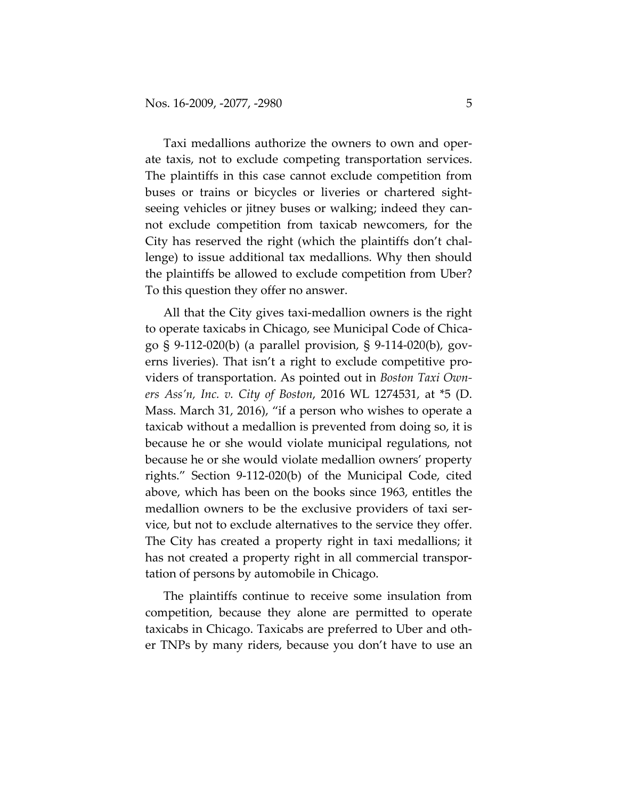Taxi medallions authorize the owners to own and oper‐ ate taxis, not to exclude competing transportation services. The plaintiffs in this case cannot exclude competition from buses or trains or bicycles or liveries or chartered sight‐ seeing vehicles or jitney buses or walking; indeed they can‐ not exclude competition from taxicab newcomers, for the City has reserved the right (which the plaintiffs don't chal‐ lenge) to issue additional tax medallions. Why then should the plaintiffs be allowed to exclude competition from Uber? To this question they offer no answer.

All that the City gives taxi‐medallion owners is the right to operate taxicabs in Chicago, see Municipal Code of Chica‐ go § 9‐112‐020(b) (a parallel provision, § 9‐114‐020(b), gov‐ erns liveries). That isn't a right to exclude competitive providers of transportation. As pointed out in *Boston Taxi Own‐ ers Ass'n, Inc. v. City of Boston*, 2016 WL 1274531, at \*5 (D. Mass. March 31, 2016), "if a person who wishes to operate a taxicab without a medallion is prevented from doing so, it is because he or she would violate municipal regulations, not because he or she would violate medallion owners' property rights." Section 9‐112‐020(b) of the Municipal Code, cited above, which has been on the books since 1963, entitles the medallion owners to be the exclusive providers of taxi service, but not to exclude alternatives to the service they offer. The City has created a property right in taxi medallions; it has not created a property right in all commercial transportation of persons by automobile in Chicago.

The plaintiffs continue to receive some insulation from competition, because they alone are permitted to operate taxicabs in Chicago. Taxicabs are preferred to Uber and oth‐ er TNPs by many riders, because you don't have to use an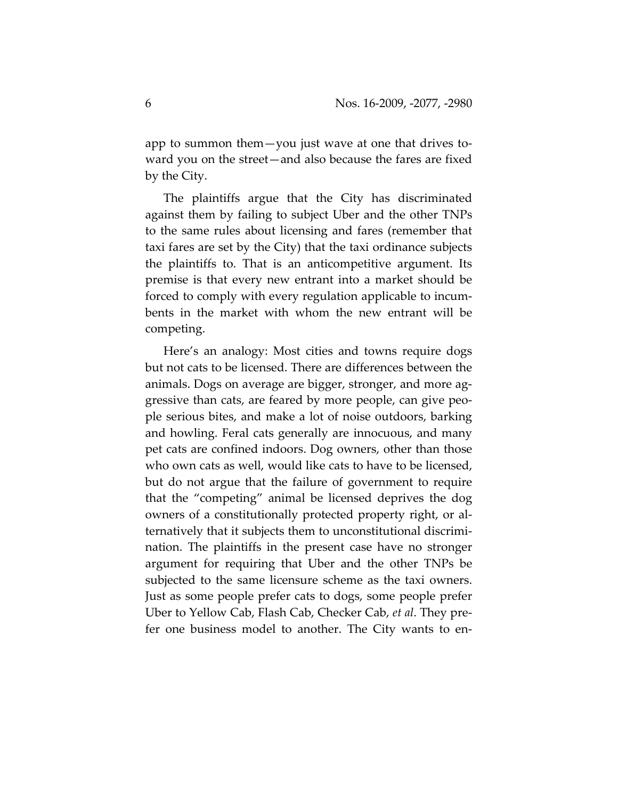app to summon them—you just wave at one that drives to‐ ward you on the street—and also because the fares are fixed by the City.

The plaintiffs argue that the City has discriminated against them by failing to subject Uber and the other TNPs to the same rules about licensing and fares (remember that taxi fares are set by the City) that the taxi ordinance subjects the plaintiffs to. That is an anticompetitive argument. Its premise is that every new entrant into a market should be forced to comply with every regulation applicable to incum‐ bents in the market with whom the new entrant will be competing.

Here's an analogy: Most cities and towns require dogs but not cats to be licensed. There are differences between the animals. Dogs on average are bigger, stronger, and more ag‐ gressive than cats, are feared by more people, can give peo‐ ple serious bites, and make a lot of noise outdoors, barking and howling. Feral cats generally are innocuous, and many pet cats are confined indoors. Dog owners, other than those who own cats as well, would like cats to have to be licensed, but do not argue that the failure of government to require that the "competing" animal be licensed deprives the dog owners of a constitutionally protected property right, or al‐ ternatively that it subjects them to unconstitutional discrimi‐ nation. The plaintiffs in the present case have no stronger argument for requiring that Uber and the other TNPs be subjected to the same licensure scheme as the taxi owners. Just as some people prefer cats to dogs, some people prefer Uber to Yellow Cab, Flash Cab, Checker Cab, *et al*. They pre‐ fer one business model to another. The City wants to en-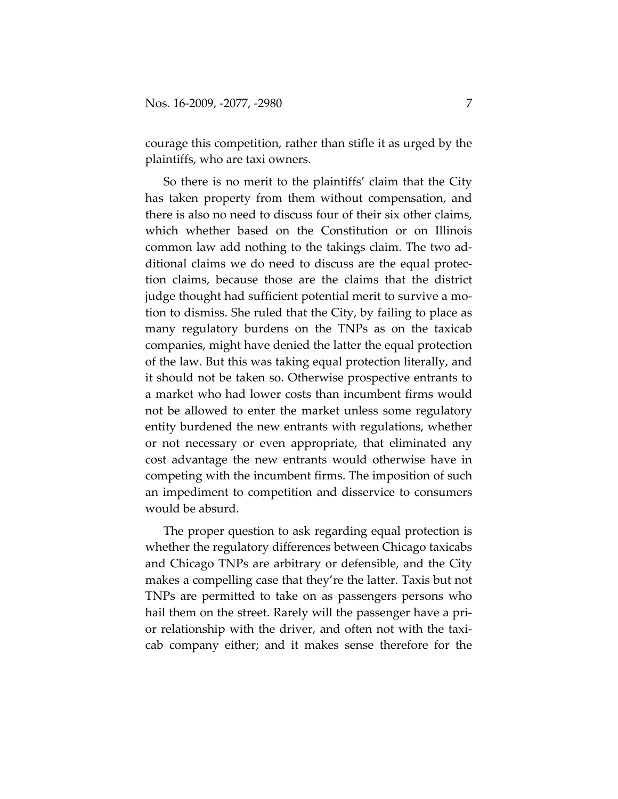courage this competition, rather than stifle it as urged by the plaintiffs, who are taxi owners.

So there is no merit to the plaintiffs' claim that the City has taken property from them without compensation, and there is also no need to discuss four of their six other claims, which whether based on the Constitution or on Illinois common law add nothing to the takings claim. The two ad‐ ditional claims we do need to discuss are the equal protec‐ tion claims, because those are the claims that the district judge thought had sufficient potential merit to survive a mo‐ tion to dismiss. She ruled that the City, by failing to place as many regulatory burdens on the TNPs as on the taxicab companies, might have denied the latter the equal protection of the law. But this was taking equal protection literally, and it should not be taken so. Otherwise prospective entrants to a market who had lower costs than incumbent firms would not be allowed to enter the market unless some regulatory entity burdened the new entrants with regulations, whether or not necessary or even appropriate, that eliminated any cost advantage the new entrants would otherwise have in competing with the incumbent firms. The imposition of such an impediment to competition and disservice to consumers would be absurd.

The proper question to ask regarding equal protection is whether the regulatory differences between Chicago taxicabs and Chicago TNPs are arbitrary or defensible, and the City makes a compelling case that they're the latter. Taxis but not TNPs are permitted to take on as passengers persons who hail them on the street. Rarely will the passenger have a prior relationship with the driver, and often not with the taxicab company either; and it makes sense therefore for the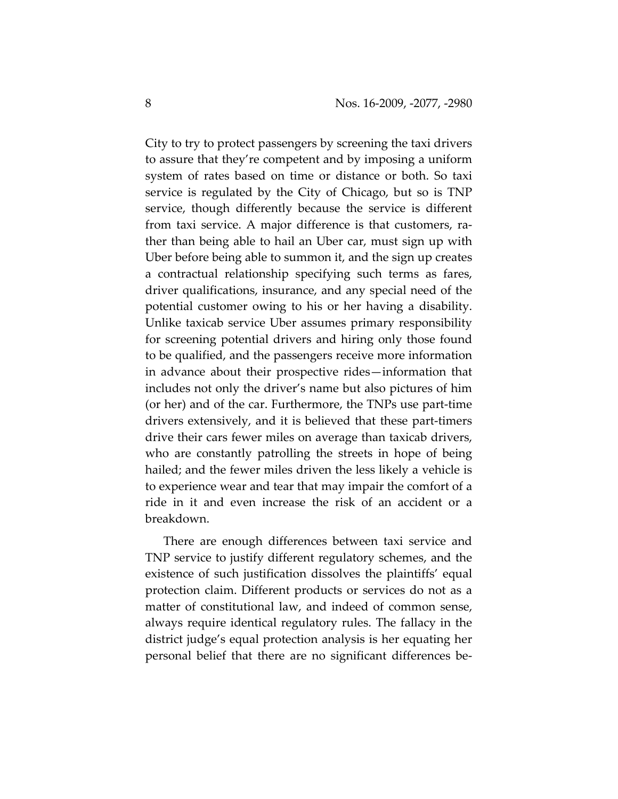City to try to protect passengers by screening the taxi drivers to assure that they're competent and by imposing a uniform system of rates based on time or distance or both. So taxi service is regulated by the City of Chicago, but so is TNP service, though differently because the service is different from taxi service. A major difference is that customers, rather than being able to hail an Uber car, must sign up with Uber before being able to summon it, and the sign up creates a contractual relationship specifying such terms as fares, driver qualifications, insurance, and any special need of the potential customer owing to his or her having a disability. Unlike taxicab service Uber assumes primary responsibility for screening potential drivers and hiring only those found to be qualified, and the passengers receive more information in advance about their prospective rides—information that includes not only the driver's name but also pictures of him (or her) and of the car. Furthermore, the TNPs use part‐time drivers extensively, and it is believed that these part-timers drive their cars fewer miles on average than taxicab drivers, who are constantly patrolling the streets in hope of being hailed; and the fewer miles driven the less likely a vehicle is to experience wear and tear that may impair the comfort of a ride in it and even increase the risk of an accident or a breakdown.

There are enough differences between taxi service and TNP service to justify different regulatory schemes, and the existence of such justification dissolves the plaintiffs' equal protection claim. Different products or services do not as a matter of constitutional law, and indeed of common sense, always require identical regulatory rules. The fallacy in the district judge's equal protection analysis is her equating her personal belief that there are no significant differences be‐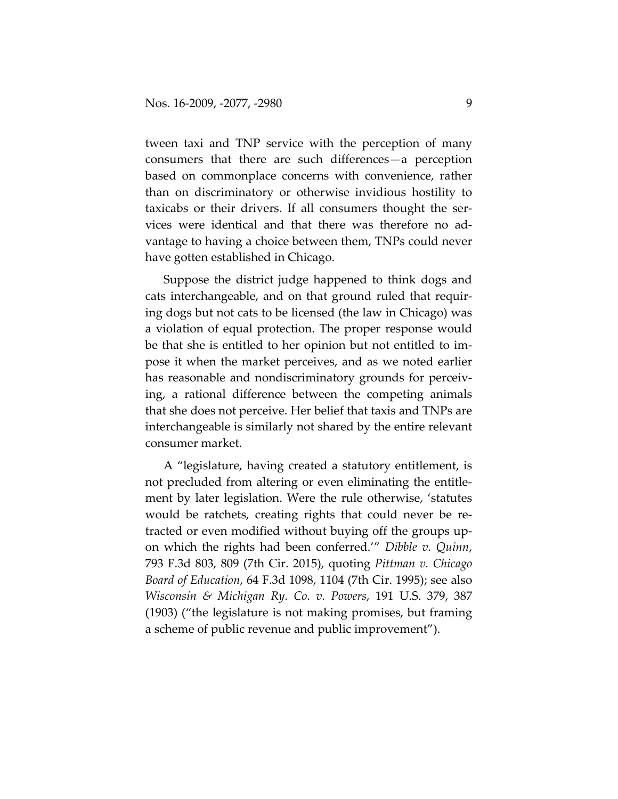tween taxi and TNP service with the perception of many consumers that there are such differences—a perception based on commonplace concerns with convenience, rather than on discriminatory or otherwise invidious hostility to taxicabs or their drivers. If all consumers thought the ser‐ vices were identical and that there was therefore no ad‐ vantage to having a choice between them, TNPs could never have gotten established in Chicago.

Suppose the district judge happened to think dogs and cats interchangeable, and on that ground ruled that requir‐ ing dogs but not cats to be licensed (the law in Chicago) was a violation of equal protection. The proper response would be that she is entitled to her opinion but not entitled to im‐ pose it when the market perceives, and as we noted earlier has reasonable and nondiscriminatory grounds for perceiving, a rational difference between the competing animals that she does not perceive. Her belief that taxis and TNPs are interchangeable is similarly not shared by the entire relevant consumer market.

A "legislature, having created a statutory entitlement, is not precluded from altering or even eliminating the entitle‐ ment by later legislation. Were the rule otherwise, 'statutes would be ratchets, creating rights that could never be re‐ tracted or even modified without buying off the groups up‐ on which the rights had been conferred.'" *Dibble v. Quinn*, 793 F.3d 803, 809 (7th Cir. 2015), quoting *Pittman v. Chicago Board of Education*, 64 F.3d 1098, 1104 (7th Cir. 1995); see also *Wisconsin & Michigan Ry. Co. v. Powers*, 191 U.S. 379, 387 (1903) ("the legislature is not making promises, but framing a scheme of public revenue and public improvement").